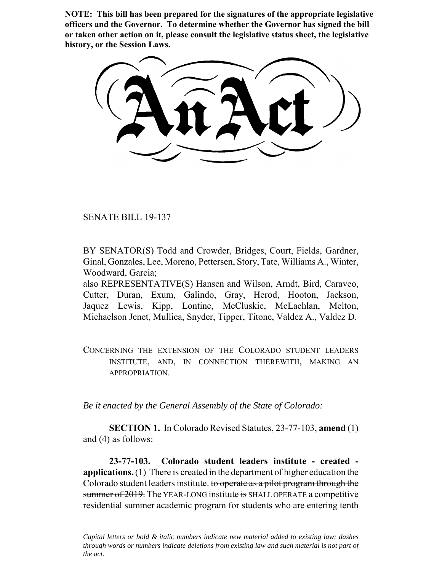**NOTE: This bill has been prepared for the signatures of the appropriate legislative officers and the Governor. To determine whether the Governor has signed the bill or taken other action on it, please consult the legislative status sheet, the legislative history, or the Session Laws.**

SENATE BILL 19-137

BY SENATOR(S) Todd and Crowder, Bridges, Court, Fields, Gardner, Ginal, Gonzales, Lee, Moreno, Pettersen, Story, Tate, Williams A., Winter, Woodward, Garcia;

also REPRESENTATIVE(S) Hansen and Wilson, Arndt, Bird, Caraveo, Cutter, Duran, Exum, Galindo, Gray, Herod, Hooton, Jackson, Jaquez Lewis, Kipp, Lontine, McCluskie, McLachlan, Melton, Michaelson Jenet, Mullica, Snyder, Tipper, Titone, Valdez A., Valdez D.

CONCERNING THE EXTENSION OF THE COLORADO STUDENT LEADERS INSTITUTE, AND, IN CONNECTION THEREWITH, MAKING AN APPROPRIATION.

*Be it enacted by the General Assembly of the State of Colorado:*

**SECTION 1.** In Colorado Revised Statutes, 23-77-103, **amend** (1) and (4) as follows:

**23-77-103. Colorado student leaders institute - created applications.** (1) There is created in the department of higher education the Colorado student leaders institute. to operate as a pilot program through the summer of 2019. The YEAR-LONG institute is SHALL OPERATE a competitive residential summer academic program for students who are entering tenth

*Capital letters or bold & italic numbers indicate new material added to existing law; dashes through words or numbers indicate deletions from existing law and such material is not part of the act.*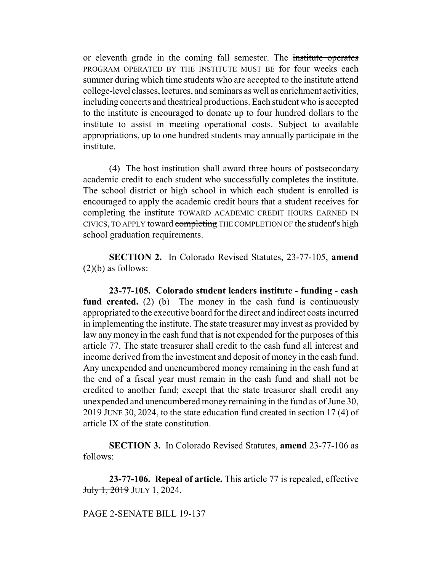or eleventh grade in the coming fall semester. The institute operates PROGRAM OPERATED BY THE INSTITUTE MUST BE for four weeks each summer during which time students who are accepted to the institute attend college-level classes, lectures, and seminars as well as enrichment activities, including concerts and theatrical productions. Each student who is accepted to the institute is encouraged to donate up to four hundred dollars to the institute to assist in meeting operational costs. Subject to available appropriations, up to one hundred students may annually participate in the institute.

(4) The host institution shall award three hours of postsecondary academic credit to each student who successfully completes the institute. The school district or high school in which each student is enrolled is encouraged to apply the academic credit hours that a student receives for completing the institute TOWARD ACADEMIC CREDIT HOURS EARNED IN CIVICS, TO APPLY toward completing THE COMPLETION OF the student's high school graduation requirements.

**SECTION 2.** In Colorado Revised Statutes, 23-77-105, **amend**  $(2)(b)$  as follows:

**23-77-105. Colorado student leaders institute - funding - cash fund created.** (2) (b) The money in the cash fund is continuously appropriated to the executive board for the direct and indirect costs incurred in implementing the institute. The state treasurer may invest as provided by law any money in the cash fund that is not expended for the purposes of this article 77. The state treasurer shall credit to the cash fund all interest and income derived from the investment and deposit of money in the cash fund. Any unexpended and unencumbered money remaining in the cash fund at the end of a fiscal year must remain in the cash fund and shall not be credited to another fund; except that the state treasurer shall credit any unexpended and unencumbered money remaining in the fund as of  $\frac{\text{June } 30}{\text{rule }}$ 2019 JUNE 30, 2024, to the state education fund created in section 17 (4) of article IX of the state constitution.

**SECTION 3.** In Colorado Revised Statutes, **amend** 23-77-106 as follows:

**23-77-106. Repeal of article.** This article 77 is repealed, effective July 1, 2019 JULY 1, 2024.

PAGE 2-SENATE BILL 19-137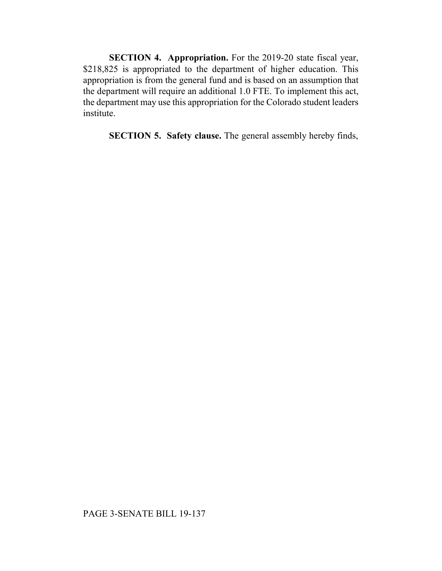**SECTION 4. Appropriation.** For the 2019-20 state fiscal year, \$218,825 is appropriated to the department of higher education. This appropriation is from the general fund and is based on an assumption that the department will require an additional 1.0 FTE. To implement this act, the department may use this appropriation for the Colorado student leaders institute.

**SECTION 5. Safety clause.** The general assembly hereby finds,